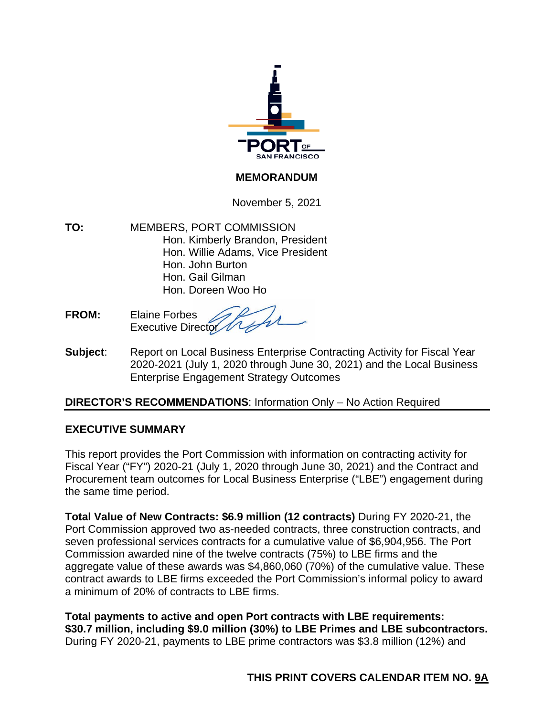

#### **MEMORANDUM**

November 5, 2021

**TO:** MEMBERS, PORT COMMISSION Hon. Kimberly Brandon, President Hon. Willie Adams, Vice President Hon. John Burton Hon. Gail Gilman Hon. Doreen Woo Ho

**FROM:** Elaine Forbes Executive Director

**Subject**: Report on Local Business Enterprise Contracting Activity for Fiscal Year 2020-2021 (July 1, 2020 through June 30, 2021) and the Local Business Enterprise Engagement Strategy Outcomes

#### **DIRECTOR'S RECOMMENDATIONS**: Information Only – No Action Required

#### **EXECUTIVE SUMMARY**

This report provides the Port Commission with information on contracting activity for Fiscal Year ("FY") 2020-21 (July 1, 2020 through June 30, 2021) and the Contract and Procurement team outcomes for Local Business Enterprise ("LBE") engagement during the same time period.

**Total Value of New Contracts: \$6.9 million (12 contracts)** During FY 2020-21, the Port Commission approved two as-needed contracts, three construction contracts, and seven professional services contracts for a cumulative value of \$6,904,956. The Port Commission awarded nine of the twelve contracts (75%) to LBE firms and the aggregate value of these awards was \$4,860,060 (70%) of the cumulative value. These contract awards to LBE firms exceeded the Port Commission's informal policy to award a minimum of 20% of contracts to LBE firms.

**Total payments to active and open Port contracts with LBE requirements: \$30.7 million, including \$9.0 million (30%) to LBE Primes and LBE subcontractors.**  During FY 2020-21, payments to LBE prime contractors was \$3.8 million (12%) and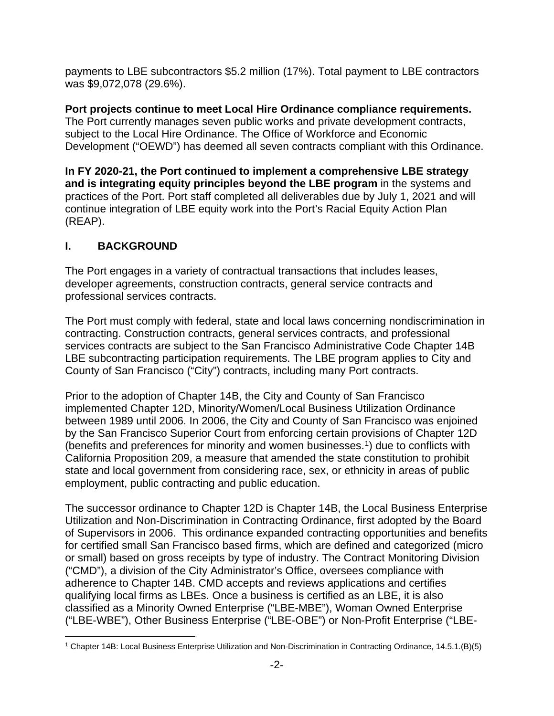payments to LBE subcontractors \$5.2 million (17%). Total payment to LBE contractors was \$9,072,078 (29.6%).

**Port projects continue to meet Local Hire Ordinance compliance requirements.**  The Port currently manages seven public works and private development contracts, subject to the Local Hire Ordinance. The Office of Workforce and Economic Development ("OEWD") has deemed all seven contracts compliant with this Ordinance.

**In FY 2020-21, the Port continued to implement a comprehensive LBE strategy and is integrating equity principles beyond the LBE program** in the systems and practices of the Port. Port staff completed all deliverables due by July 1, 2021 and will continue integration of LBE equity work into the Port's Racial Equity Action Plan (REAP).

# **I. BACKGROUND**

The Port engages in a variety of contractual transactions that includes leases, developer agreements, construction contracts, general service contracts and professional services contracts.

The Port must comply with federal, state and local laws concerning nondiscrimination in contracting. Construction contracts, general services contracts, and professional services contracts are subject to the San Francisco Administrative Code Chapter 14B LBE subcontracting participation requirements. The LBE program applies to City and County of San Francisco ("City") contracts, including many Port contracts.

Prior to the adoption of Chapter 14B, the City and County of San Francisco implemented Chapter 12D, Minority/Women/Local Business Utilization Ordinance between 1989 until 2006. In 2006, the City and County of San Francisco was enjoined by the San Francisco Superior Court from enforcing certain provisions of Chapter 12D (benefits and preferences for minority and women businesses.[1\)](#page-1-0) due to conflicts with California Proposition 209, a measure that amended the state constitution to prohibit state and local government from considering race, sex, or ethnicity in areas of public employment, public contracting and public education.

The successor ordinance to Chapter 12D is Chapter 14B, the Local Business Enterprise Utilization and Non-Discrimination in Contracting Ordinance, first adopted by the Board of Supervisors in 2006. This ordinance expanded contracting opportunities and benefits for certified small San Francisco based firms, which are defined and categorized (micro or small) based on gross receipts by type of industry. The Contract Monitoring Division ("CMD"), a division of the City Administrator's Office, oversees compliance with adherence to Chapter 14B. CMD accepts and reviews applications and certifies qualifying local firms as LBEs. Once a business is certified as an LBE, it is also classified as a Minority Owned Enterprise ("LBE-MBE"), Woman Owned Enterprise ("LBE-WBE"), Other Business Enterprise ("LBE-OBE") or Non-Profit Enterprise ("LBE-

<span id="page-1-0"></span><sup>1</sup> Chapter 14B: Local Business Enterprise Utilization and Non-Discrimination in Contracting Ordinance, 14.5.1.(B)(5)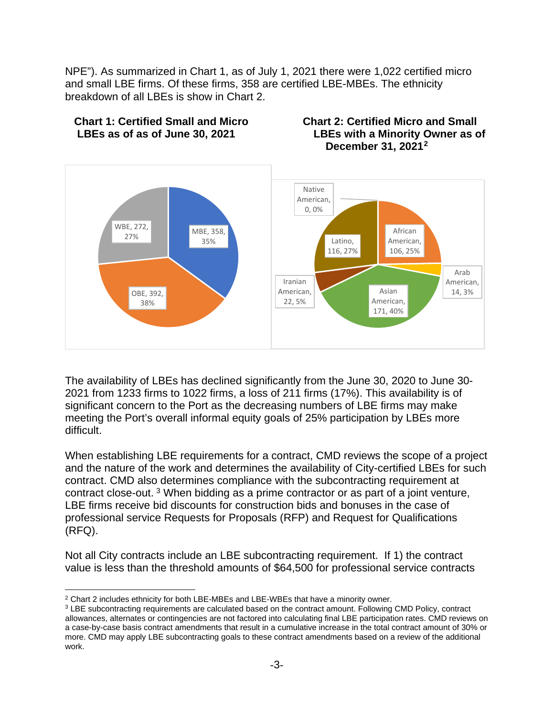NPE"). As summarized in Chart 1, as of July 1, 2021 there were 1,022 certified micro and small LBE firms. Of these firms, 358 are certified LBE-MBEs. The ethnicity breakdown of all LBEs is show in Chart 2.



The availability of LBEs has declined significantly from the June 30, 2020 to June 30- 2021 from 1233 firms to 1022 firms, a loss of 211 firms (17%). This availability is of significant concern to the Port as the decreasing numbers of LBE firms may make meeting the Port's overall informal equity goals of 25% participation by LBEs more difficult.

When establishing LBE requirements for a contract, CMD reviews the scope of a project and the nature of the work and determines the availability of City-certified LBEs for such contract. CMD also determines compliance with the subcontracting requirement at contract close-out. [3](#page-2-1) When bidding as a prime contractor or as part of a joint venture, LBE firms receive bid discounts for construction bids and bonuses in the case of professional service Requests for Proposals (RFP) and Request for Qualifications (RFQ).

Not all City contracts include an LBE subcontracting requirement. If 1) the contract value is less than the threshold amounts of \$64,500 for professional service contracts

<span id="page-2-0"></span><sup>2</sup> Chart 2 includes ethnicity for both LBE-MBEs and LBE-WBEs that have a minority owner.

<span id="page-2-1"></span><sup>3</sup> LBE subcontracting requirements are calculated based on the contract amount. Following CMD Policy, contract allowances, alternates or contingencies are not factored into calculating final LBE participation rates. CMD reviews on a case-by-case basis contract amendments that result in a cumulative increase in the total contract amount of 30% or more. CMD may apply LBE subcontracting goals to these contract amendments based on a review of the additional work.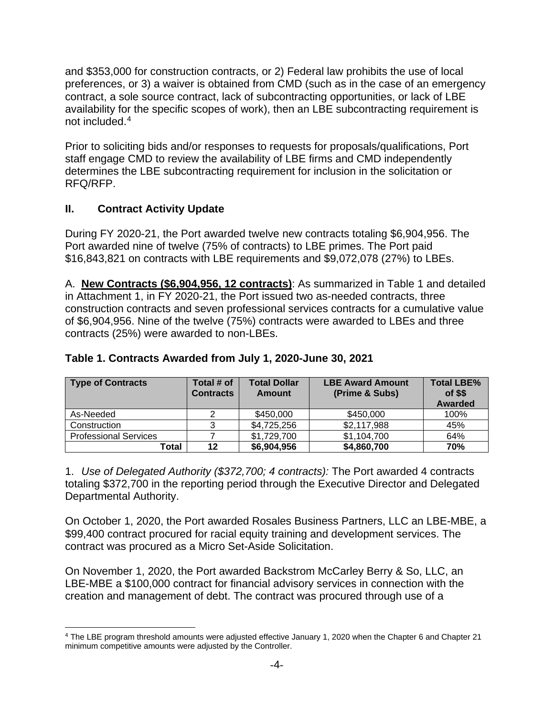and \$353,000 for construction contracts, or 2) Federal law prohibits the use of local preferences, or 3) a waiver is obtained from CMD (such as in the case of an emergency contract, a sole source contract, lack of subcontracting opportunities, or lack of LBE availability for the specific scopes of work), then an LBE subcontracting requirement is not included.[4](#page-3-0)

Prior to soliciting bids and/or responses to requests for proposals/qualifications, Port staff engage CMD to review the availability of LBE firms and CMD independently determines the LBE subcontracting requirement for inclusion in the solicitation or RFQ/RFP.

# **II. Contract Activity Update**

During FY 2020-21, the Port awarded twelve new contracts totaling \$6,904,956. The Port awarded nine of twelve (75% of contracts) to LBE primes. The Port paid \$16,843,821 on contracts with LBE requirements and \$9,072,078 (27%) to LBEs.

A. **New Contracts (\$6,904,956, 12 contracts)**: As summarized in Table 1 and detailed in Attachment 1, in FY 2020-21, the Port issued two as-needed contracts, three construction contracts and seven professional services contracts for a cumulative value of \$6,904,956. Nine of the twelve (75%) contracts were awarded to LBEs and three contracts (25%) were awarded to non-LBEs.

| <b>Type of Contracts</b>     | Total # of<br><b>Contracts</b> | <b>Total Dollar</b><br><b>Amount</b> | <b>LBE Award Amount</b><br>(Prime & Subs) | <b>Total LBE%</b><br>$of$ \$\$<br><b>Awarded</b> |
|------------------------------|--------------------------------|--------------------------------------|-------------------------------------------|--------------------------------------------------|
| As-Needed                    |                                | \$450,000                            | \$450,000                                 | 100%                                             |
| Construction                 |                                | \$4,725,256                          | \$2,117,988                               | 45%                                              |
| <b>Professional Services</b> |                                | \$1,729,700                          | \$1,104,700                               | 64%                                              |
| Total                        | 12                             | \$6,904,956                          | \$4,860,700                               | 70%                                              |

### **Table 1. Contracts Awarded from July 1, 2020-June 30, 2021**

1. *Use of Delegated Authority (\$372,700; 4 contracts):* The Port awarded 4 contracts totaling \$372,700 in the reporting period through the Executive Director and Delegated Departmental Authority.

On October 1, 2020, the Port awarded Rosales Business Partners, LLC an LBE-MBE, a \$99,400 contract procured for racial equity training and development services. The contract was procured as a Micro Set-Aside Solicitation.

On November 1, 2020, the Port awarded Backstrom McCarley Berry & So, LLC, an LBE-MBE a \$100,000 contract for financial advisory services in connection with the creation and management of debt. The contract was procured through use of a

<span id="page-3-0"></span><sup>4</sup> The LBE program threshold amounts were adjusted effective January 1, 2020 when the Chapter 6 and Chapter 21 minimum competitive amounts were adjusted by the Controller.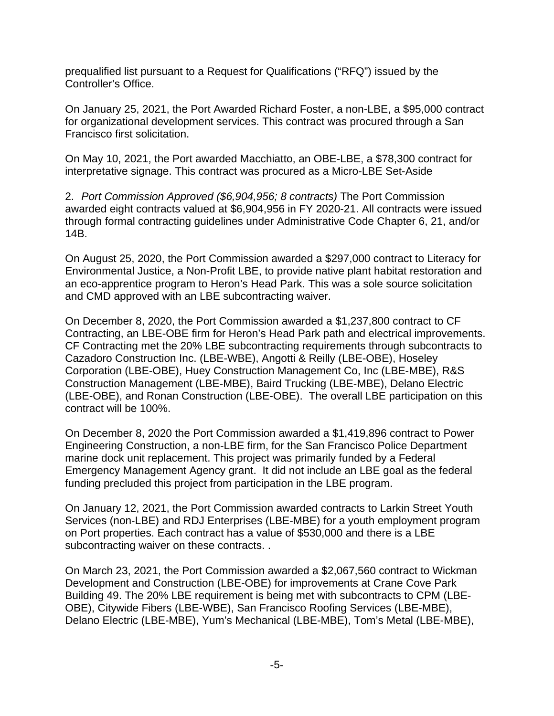prequalified list pursuant to a Request for Qualifications ("RFQ") issued by the Controller's Office.

On January 25, 2021, the Port Awarded Richard Foster, a non-LBE, a \$95,000 contract for organizational development services. This contract was procured through a San Francisco first solicitation.

On May 10, 2021, the Port awarded Macchiatto, an OBE-LBE, a \$78,300 contract for interpretative signage. This contract was procured as a Micro-LBE Set-Aside

2. *Port Commission Approved (\$6,904,956; 8 contracts)* The Port Commission awarded eight contracts valued at \$6,904,956 in FY 2020-21. All contracts were issued through formal contracting guidelines under Administrative Code Chapter 6, 21, and/or 14B.

On August 25, 2020, the Port Commission awarded a \$297,000 contract to Literacy for Environmental Justice, a Non-Profit LBE, to provide native plant habitat restoration and an eco-apprentice program to Heron's Head Park. This was a sole source solicitation and CMD approved with an LBE subcontracting waiver.

On December 8, 2020, the Port Commission awarded a \$1,237,800 contract to CF Contracting, an LBE-OBE firm for Heron's Head Park path and electrical improvements. CF Contracting met the 20% LBE subcontracting requirements through subcontracts to Cazadoro Construction Inc. (LBE-WBE), Angotti & Reilly (LBE-OBE), Hoseley Corporation (LBE-OBE), Huey Construction Management Co, Inc (LBE-MBE), R&S Construction Management (LBE-MBE), Baird Trucking (LBE-MBE), Delano Electric (LBE-OBE), and Ronan Construction (LBE-OBE). The overall LBE participation on this contract will be 100%.

On December 8, 2020 the Port Commission awarded a \$1,419,896 contract to Power Engineering Construction, a non-LBE firm, for the San Francisco Police Department marine dock unit replacement. This project was primarily funded by a Federal Emergency Management Agency grant. It did not include an LBE goal as the federal funding precluded this project from participation in the LBE program.

On January 12, 2021, the Port Commission awarded contracts to Larkin Street Youth Services (non-LBE) and RDJ Enterprises (LBE-MBE) for a youth employment program on Port properties. Each contract has a value of \$530,000 and there is a LBE subcontracting waiver on these contracts. .

On March 23, 2021, the Port Commission awarded a \$2,067,560 contract to Wickman Development and Construction (LBE-OBE) for improvements at Crane Cove Park Building 49. The 20% LBE requirement is being met with subcontracts to CPM (LBE-OBE), Citywide Fibers (LBE-WBE), San Francisco Roofing Services (LBE-MBE), Delano Electric (LBE-MBE), Yum's Mechanical (LBE-MBE), Tom's Metal (LBE-MBE),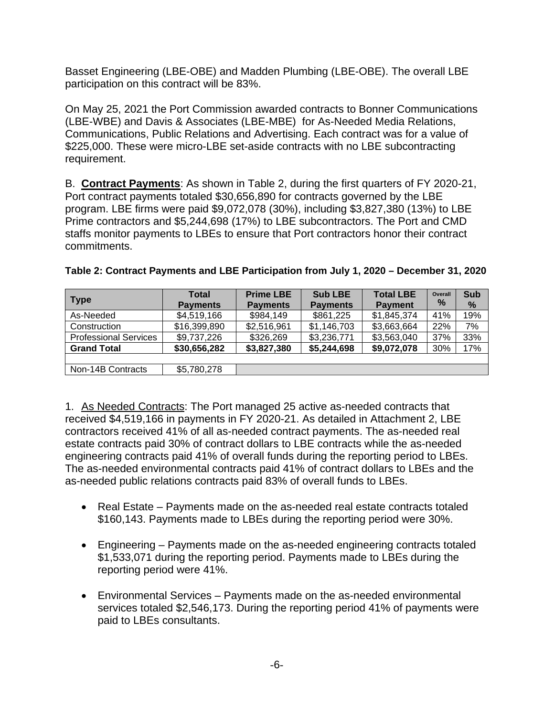Basset Engineering (LBE-OBE) and Madden Plumbing (LBE-OBE). The overall LBE participation on this contract will be 83%.

On May 25, 2021 the Port Commission awarded contracts to Bonner Communications (LBE-WBE) and Davis & Associates (LBE-MBE) for As-Needed Media Relations, Communications, Public Relations and Advertising. Each contract was for a value of \$225,000. These were micro-LBE set-aside contracts with no LBE subcontracting requirement.

B. **Contract Payments**: As shown in Table 2, during the first quarters of FY 2020-21, Port contract payments totaled \$30,656,890 for contracts governed by the LBE program. LBE firms were paid \$9,072,078 (30%), including \$3,827,380 (13%) to LBE Prime contractors and \$5,244,698 (17%) to LBE subcontractors. The Port and CMD staffs monitor payments to LBEs to ensure that Port contractors honor their contract commitments.

| <b>Type</b>                  | Total<br><b>Payments</b> | <b>Prime LBE</b><br><b>Payments</b> | <b>Sub LBE</b><br><b>Payments</b> | <b>Total LBE</b><br><b>Payment</b> | Overall<br>$\frac{9}{6}$ | <b>Sub</b><br>$\%$ |
|------------------------------|--------------------------|-------------------------------------|-----------------------------------|------------------------------------|--------------------------|--------------------|
| As-Needed                    | \$4,519,166              | \$984,149                           | \$861,225                         | \$1,845,374                        | 41%                      | 19%                |
| Construction                 | \$16,399,890             | \$2,516,961                         | \$1,146,703                       | \$3,663,664                        | 22%                      | 7%                 |
| <b>Professional Services</b> | \$9,737,226              | \$326,269                           | \$3,236,771                       | \$3,563,040                        | 37%                      | 33%                |
| <b>Grand Total</b>           | \$30,656,282             | \$3,827,380                         | \$5,244,698                       | \$9,072,078                        | 30%                      | 17%                |
|                              |                          |                                     |                                   |                                    |                          |                    |
| Non-14B Contracts            | \$5,780,278              |                                     |                                   |                                    |                          |                    |

### **Table 2: Contract Payments and LBE Participation from July 1, 2020 – December 31, 2020**

1. As Needed Contracts: The Port managed 25 active as-needed contracts that received \$4,519,166 in payments in FY 2020-21. As detailed in Attachment 2, LBE contractors received 41% of all as-needed contract payments. The as-needed real estate contracts paid 30% of contract dollars to LBE contracts while the as-needed engineering contracts paid 41% of overall funds during the reporting period to LBEs. The as-needed environmental contracts paid 41% of contract dollars to LBEs and the as-needed public relations contracts paid 83% of overall funds to LBEs.

- Real Estate Payments made on the as-needed real estate contracts totaled \$160,143. Payments made to LBEs during the reporting period were 30%.
- Engineering Payments made on the as-needed engineering contracts totaled \$1,533,071 during the reporting period. Payments made to LBEs during the reporting period were 41%.
- Environmental Services Payments made on the as-needed environmental services totaled \$2,546,173. During the reporting period 41% of payments were paid to LBEs consultants.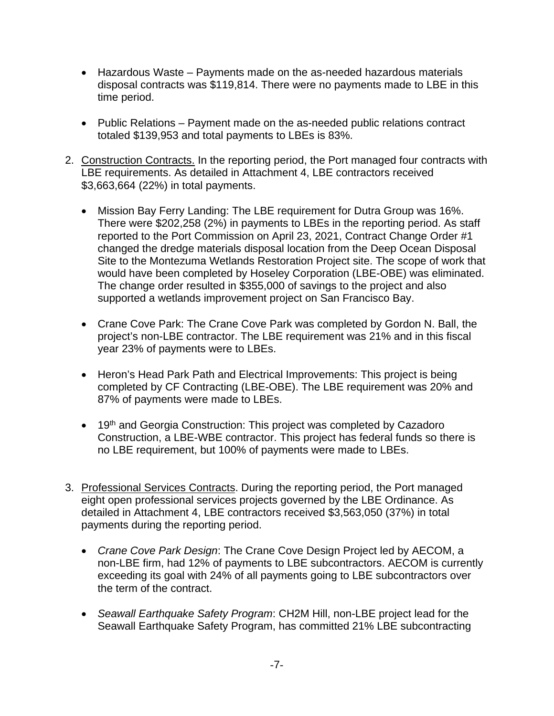- Hazardous Waste Payments made on the as-needed hazardous materials disposal contracts was \$119,814. There were no payments made to LBE in this time period.
- Public Relations Payment made on the as-needed public relations contract totaled \$139,953 and total payments to LBEs is 83%.
- 2. Construction Contracts. In the reporting period, the Port managed four contracts with LBE requirements. As detailed in Attachment 4, LBE contractors received \$3,663,664 (22%) in total payments.
	- Mission Bay Ferry Landing: The LBE requirement for Dutra Group was 16%. There were \$202,258 (2%) in payments to LBEs in the reporting period. As staff reported to the Port Commission on April 23, 2021, Contract Change Order #1 changed the dredge materials disposal location from the Deep Ocean Disposal Site to the Montezuma Wetlands Restoration Project site. The scope of work that would have been completed by Hoseley Corporation (LBE-OBE) was eliminated. The change order resulted in \$355,000 of savings to the project and also supported a wetlands improvement project on San Francisco Bay.
	- Crane Cove Park: The Crane Cove Park was completed by Gordon N. Ball, the project's non-LBE contractor. The LBE requirement was 21% and in this fiscal year 23% of payments were to LBEs.
	- Heron's Head Park Path and Electrical Improvements: This project is being completed by CF Contracting (LBE-OBE). The LBE requirement was 20% and 87% of payments were made to LBEs.
	- 19<sup>th</sup> and Georgia Construction: This project was completed by Cazadoro Construction, a LBE-WBE contractor. This project has federal funds so there is no LBE requirement, but 100% of payments were made to LBEs.
- 3. Professional Services Contracts. During the reporting period, the Port managed eight open professional services projects governed by the LBE Ordinance. As detailed in Attachment 4, LBE contractors received \$3,563,050 (37%) in total payments during the reporting period.
	- *Crane Cove Park Design*: The Crane Cove Design Project led by AECOM, a non-LBE firm, had 12% of payments to LBE subcontractors. AECOM is currently exceeding its goal with 24% of all payments going to LBE subcontractors over the term of the contract.
	- *Seawall Earthquake Safety Program*: CH2M Hill, non-LBE project lead for the Seawall Earthquake Safety Program, has committed 21% LBE subcontracting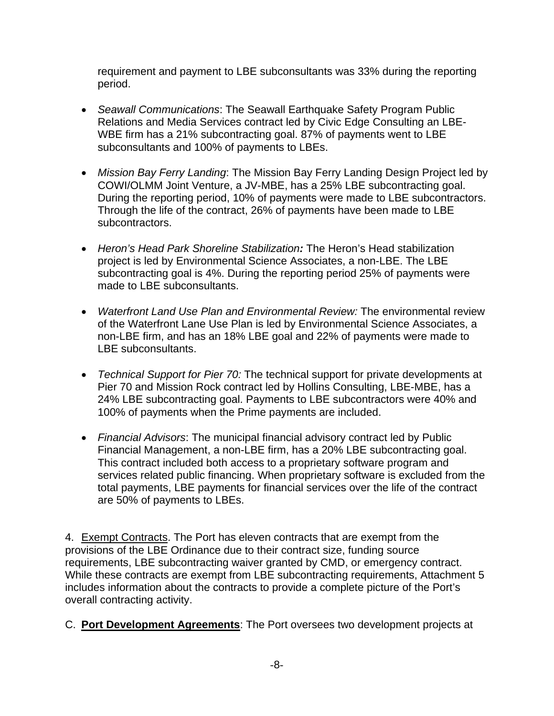requirement and payment to LBE subconsultants was 33% during the reporting period.

- *Seawall Communications*: The Seawall Earthquake Safety Program Public Relations and Media Services contract led by Civic Edge Consulting an LBE-WBE firm has a 21% subcontracting goal. 87% of payments went to LBE subconsultants and 100% of payments to LBEs.
- *Mission Bay Ferry Landing*: The Mission Bay Ferry Landing Design Project led by COWI/OLMM Joint Venture, a JV-MBE, has a 25% LBE subcontracting goal. During the reporting period, 10% of payments were made to LBE subcontractors. Through the life of the contract, 26% of payments have been made to LBE subcontractors.
- *Heron's Head Park Shoreline Stabilization:* The Heron's Head stabilization project is led by Environmental Science Associates, a non-LBE. The LBE subcontracting goal is 4%. During the reporting period 25% of payments were made to LBE subconsultants.
- *Waterfront Land Use Plan and Environmental Review:* The environmental review of the Waterfront Lane Use Plan is led by Environmental Science Associates, a non-LBE firm, and has an 18% LBE goal and 22% of payments were made to LBE subconsultants.
- *Technical Support for Pier 70:* The technical support for private developments at Pier 70 and Mission Rock contract led by Hollins Consulting, LBE-MBE, has a 24% LBE subcontracting goal. Payments to LBE subcontractors were 40% and 100% of payments when the Prime payments are included.
- *Financial Advisors*: The municipal financial advisory contract led by Public Financial Management, a non-LBE firm, has a 20% LBE subcontracting goal. This contract included both access to a proprietary software program and services related public financing. When proprietary software is excluded from the total payments, LBE payments for financial services over the life of the contract are 50% of payments to LBEs.

4. Exempt Contracts. The Port has eleven contracts that are exempt from the provisions of the LBE Ordinance due to their contract size, funding source requirements, LBE subcontracting waiver granted by CMD, or emergency contract. While these contracts are exempt from LBE subcontracting requirements, Attachment 5 includes information about the contracts to provide a complete picture of the Port's overall contracting activity.

C. **Port Development Agreements**: The Port oversees two development projects at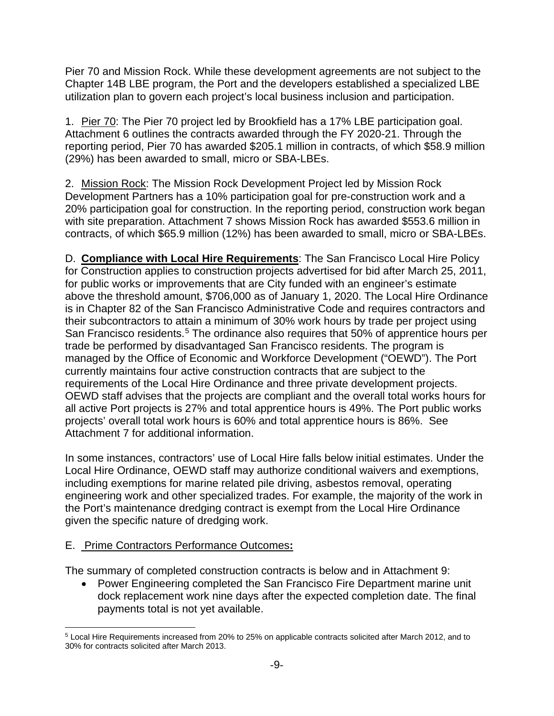Pier 70 and Mission Rock. While these development agreements are not subject to the Chapter 14B LBE program, the Port and the developers established a specialized LBE utilization plan to govern each project's local business inclusion and participation.

1. Pier 70: The Pier 70 project led by Brookfield has a 17% LBE participation goal. Attachment 6 outlines the contracts awarded through the FY 2020-21. Through the reporting period, Pier 70 has awarded \$205.1 million in contracts, of which \$58.9 million (29%) has been awarded to small, micro or SBA-LBEs.

2. Mission Rock: The Mission Rock Development Project led by Mission Rock Development Partners has a 10% participation goal for pre-construction work and a 20% participation goal for construction. In the reporting period, construction work began with site preparation. Attachment 7 shows Mission Rock has awarded \$553.6 million in contracts, of which \$65.9 million (12%) has been awarded to small, micro or SBA-LBEs.

D. **Compliance with Local Hire Requirements**: The San Francisco Local Hire Policy for Construction applies to construction projects advertised for bid after March 25, 2011, for public works or improvements that are City funded with an engineer's estimate above the threshold amount, \$706,000 as of January 1, 2020. The Local Hire Ordinance is in Chapter 82 of the San Francisco Administrative Code and requires contractors and their subcontractors to attain a minimum of 30% work hours by trade per project using San Francisco residents.<sup>[5](#page-8-0)</sup> The ordinance also requires that 50% of apprentice hours per trade be performed by disadvantaged San Francisco residents. The program is managed by the Office of Economic and Workforce Development ("OEWD"). The Port currently maintains four active construction contracts that are subject to the requirements of the Local Hire Ordinance and three private development projects. OEWD staff advises that the projects are compliant and the overall total works hours for all active Port projects is 27% and total apprentice hours is 49%. The Port public works projects' overall total work hours is 60% and total apprentice hours is 86%. See Attachment 7 for additional information.

In some instances, contractors' use of Local Hire falls below initial estimates. Under the Local Hire Ordinance, OEWD staff may authorize conditional waivers and exemptions, including exemptions for marine related pile driving, asbestos removal, operating engineering work and other specialized trades. For example, the majority of the work in the Port's maintenance dredging contract is exempt from the Local Hire Ordinance given the specific nature of dredging work.

### E. Prime Contractors Performance Outcomes**:**

The summary of completed construction contracts is below and in Attachment 9:

• Power Engineering completed the San Francisco Fire Department marine unit dock replacement work nine days after the expected completion date. The final payments total is not yet available.

<span id="page-8-0"></span><sup>5</sup> Local Hire Requirements increased from 20% to 25% on applicable contracts solicited after March 2012, and to 30% for contracts solicited after March 2013.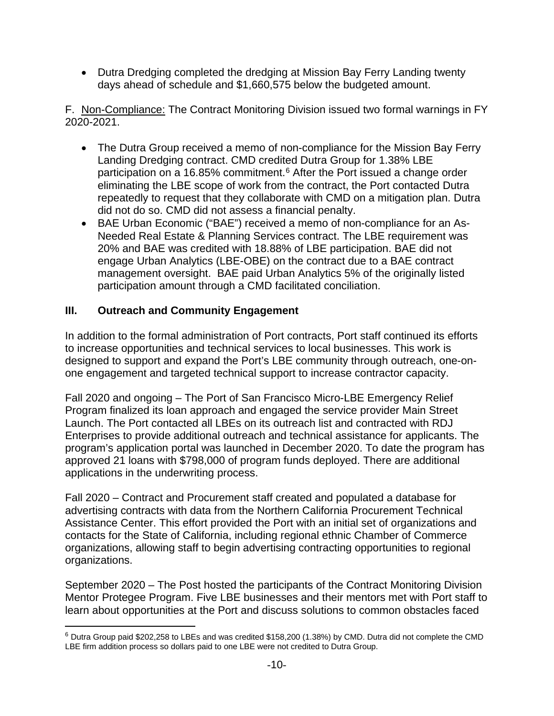• Dutra Dredging completed the dredging at Mission Bay Ferry Landing twenty days ahead of schedule and \$1,660,575 below the budgeted amount.

F. Non-Compliance: The Contract Monitoring Division issued two formal warnings in FY 2020-2021.

- The Dutra Group received a memo of non-compliance for the Mission Bay Ferry Landing Dredging contract. CMD credited Dutra Group for 1.38% LBE participation on a 1[6](#page-9-0).85% commitment.<sup>6</sup> After the Port issued a change order eliminating the LBE scope of work from the contract, the Port contacted Dutra repeatedly to request that they collaborate with CMD on a mitigation plan. Dutra did not do so. CMD did not assess a financial penalty.
- BAE Urban Economic ("BAE") received a memo of non-compliance for an As-Needed Real Estate & Planning Services contract. The LBE requirement was 20% and BAE was credited with 18.88% of LBE participation. BAE did not engage Urban Analytics (LBE-OBE) on the contract due to a BAE contract management oversight. BAE paid Urban Analytics 5% of the originally listed participation amount through a CMD facilitated conciliation.

# **III. Outreach and Community Engagement**

In addition to the formal administration of Port contracts, Port staff continued its efforts to increase opportunities and technical services to local businesses. This work is designed to support and expand the Port's LBE community through outreach, one-onone engagement and targeted technical support to increase contractor capacity.

Fall 2020 and ongoing – The Port of San Francisco Micro-LBE Emergency Relief Program finalized its loan approach and engaged the service provider Main Street Launch. The Port contacted all LBEs on its outreach list and contracted with RDJ Enterprises to provide additional outreach and technical assistance for applicants. The program's application portal was launched in December 2020. To date the program has approved 21 loans with \$798,000 of program funds deployed. There are additional applications in the underwriting process.

Fall 2020 – Contract and Procurement staff created and populated a database for advertising contracts with data from the Northern California Procurement Technical Assistance Center. This effort provided the Port with an initial set of organizations and contacts for the State of California, including regional ethnic Chamber of Commerce organizations, allowing staff to begin advertising contracting opportunities to regional organizations.

September 2020 – The Post hosted the participants of the Contract Monitoring Division Mentor Protegee Program. Five LBE businesses and their mentors met with Port staff to learn about opportunities at the Port and discuss solutions to common obstacles faced

<span id="page-9-0"></span><sup>6</sup> Dutra Group paid \$202,258 to LBEs and was credited \$158,200 (1.38%) by CMD. Dutra did not complete the CMD LBE firm addition process so dollars paid to one LBE were not credited to Dutra Group.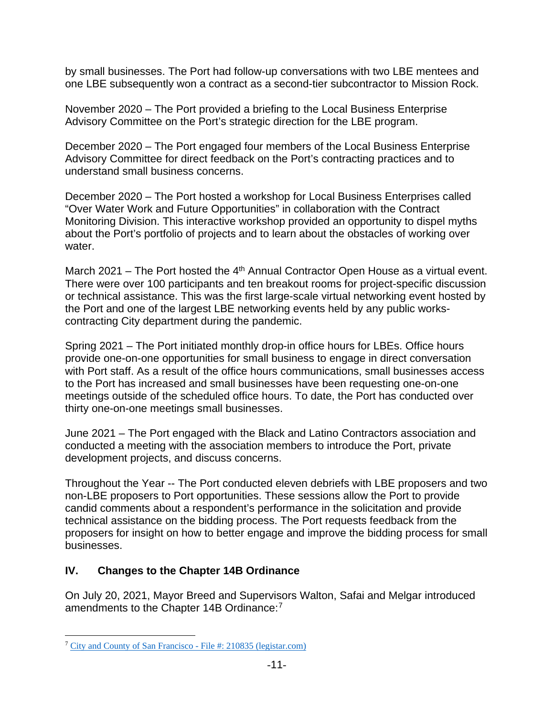by small businesses. The Port had follow-up conversations with two LBE mentees and one LBE subsequently won a contract as a second-tier subcontractor to Mission Rock.

November 2020 – The Port provided a briefing to the Local Business Enterprise Advisory Committee on the Port's strategic direction for the LBE program.

December 2020 – The Port engaged four members of the Local Business Enterprise Advisory Committee for direct feedback on the Port's contracting practices and to understand small business concerns.

December 2020 – The Port hosted a workshop for Local Business Enterprises called "Over Water Work and Future Opportunities" in collaboration with the Contract Monitoring Division. This interactive workshop provided an opportunity to dispel myths about the Port's portfolio of projects and to learn about the obstacles of working over water.

March 2021 – The Port hosted the  $4<sup>th</sup>$  Annual Contractor Open House as a virtual event. There were over 100 participants and ten breakout rooms for project-specific discussion or technical assistance. This was the first large-scale virtual networking event hosted by the Port and one of the largest LBE networking events held by any public workscontracting City department during the pandemic.

Spring 2021 – The Port initiated monthly drop-in office hours for LBEs. Office hours provide one-on-one opportunities for small business to engage in direct conversation with Port staff. As a result of the office hours communications, small businesses access to the Port has increased and small businesses have been requesting one-on-one meetings outside of the scheduled office hours. To date, the Port has conducted over thirty one-on-one meetings small businesses.

June 2021 – The Port engaged with the Black and Latino Contractors association and conducted a meeting with the association members to introduce the Port, private development projects, and discuss concerns.

Throughout the Year -- The Port conducted eleven debriefs with LBE proposers and two non-LBE proposers to Port opportunities. These sessions allow the Port to provide candid comments about a respondent's performance in the solicitation and provide technical assistance on the bidding process. The Port requests feedback from the proposers for insight on how to better engage and improve the bidding process for small businesses.

# **IV. Changes to the Chapter 14B Ordinance**

On July 20, 2021, Mayor Breed and Supervisors Walton, Safai and Melgar introduced amendments to the Chapter 14B Ordinance:<sup>[7](#page-10-0)</sup>

<span id="page-10-0"></span><sup>7</sup> [City and County of San Francisco -](https://sfgov.legistar.com/LegislationDetail.aspx?ID=5066149&GUID=045ABEBA-626A-42CA-908F-B1F6E8DFA0C7&Options=ID|Text|&Search=14B) File #: 210835 (legistar.com)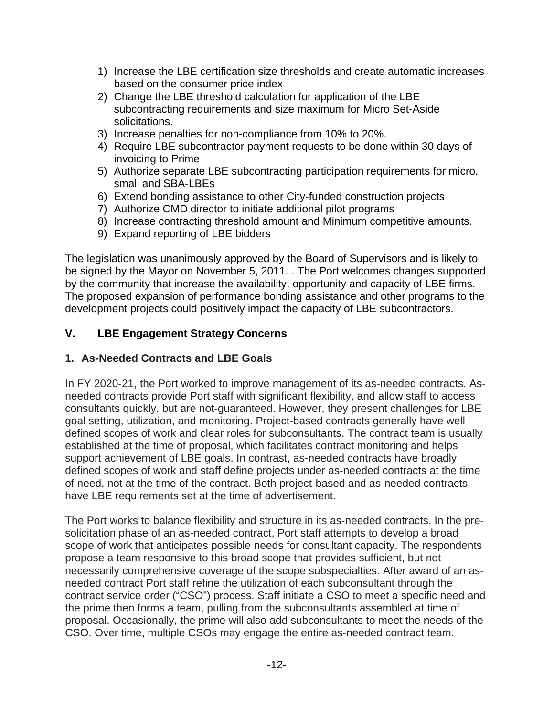- 1) Increase the LBE certification size thresholds and create automatic increases based on the consumer price index
- 2) Change the LBE threshold calculation for application of the LBE subcontracting requirements and size maximum for Micro Set-Aside solicitations.
- 3) Increase penalties for non-compliance from 10% to 20%.
- 4) Require LBE subcontractor payment requests to be done within 30 days of invoicing to Prime
- 5) Authorize separate LBE subcontracting participation requirements for micro, small and SBA-LBEs
- 6) Extend bonding assistance to other City-funded construction projects
- 7) Authorize CMD director to initiate additional pilot programs
- 8) Increase contracting threshold amount and Minimum competitive amounts.
- 9) Expand reporting of LBE bidders

The legislation was unanimously approved by the Board of Supervisors and is likely to be signed by the Mayor on November 5, 2011. . The Port welcomes changes supported by the community that increase the availability, opportunity and capacity of LBE firms. The proposed expansion of performance bonding assistance and other programs to the development projects could positively impact the capacity of LBE subcontractors.

# **V. LBE Engagement Strategy Concerns**

# **1. As-Needed Contracts and LBE Goals**

In FY 2020-21, the Port worked to improve management of its as-needed contracts. Asneeded contracts provide Port staff with significant flexibility, and allow staff to access consultants quickly, but are not-guaranteed. However, they present challenges for LBE goal setting, utilization, and monitoring. Project-based contracts generally have well defined scopes of work and clear roles for subconsultants. The contract team is usually established at the time of proposal, which facilitates contract monitoring and helps support achievement of LBE goals. In contrast, as-needed contracts have broadly defined scopes of work and staff define projects under as-needed contracts at the time of need, not at the time of the contract. Both project-based and as-needed contracts have LBE requirements set at the time of advertisement.

The Port works to balance flexibility and structure in its as-needed contracts. In the presolicitation phase of an as-needed contract, Port staff attempts to develop a broad scope of work that anticipates possible needs for consultant capacity. The respondents propose a team responsive to this broad scope that provides sufficient, but not necessarily comprehensive coverage of the scope subspecialties. After award of an asneeded contract Port staff refine the utilization of each subconsultant through the contract service order ("CSO") process. Staff initiate a CSO to meet a specific need and the prime then forms a team, pulling from the subconsultants assembled at time of proposal. Occasionally, the prime will also add subconsultants to meet the needs of the CSO. Over time, multiple CSOs may engage the entire as-needed contract team.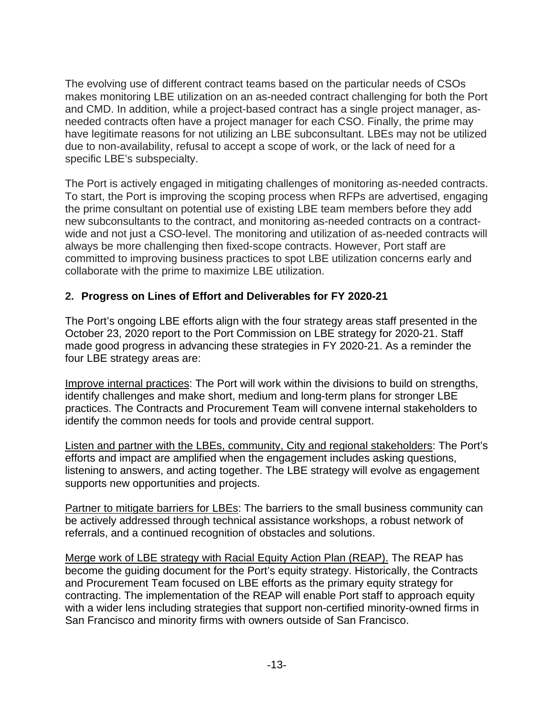The evolving use of different contract teams based on the particular needs of CSOs makes monitoring LBE utilization on an as-needed contract challenging for both the Port and CMD. In addition, while a project-based contract has a single project manager, asneeded contracts often have a project manager for each CSO. Finally, the prime may have legitimate reasons for not utilizing an LBE subconsultant. LBEs may not be utilized due to non-availability, refusal to accept a scope of work, or the lack of need for a specific LBE's subspecialty.

The Port is actively engaged in mitigating challenges of monitoring as-needed contracts. To start, the Port is improving the scoping process when RFPs are advertised, engaging the prime consultant on potential use of existing LBE team members before they add new subconsultants to the contract, and monitoring as-needed contracts on a contractwide and not just a CSO-level. The monitoring and utilization of as-needed contracts will always be more challenging then fixed-scope contracts. However, Port staff are committed to improving business practices to spot LBE utilization concerns early and collaborate with the prime to maximize LBE utilization.

## **2. Progress on Lines of Effort and Deliverables for FY 2020-21**

The Port's ongoing LBE efforts align with the four strategy areas staff presented in the October 23, 2020 report to the Port Commission on LBE strategy for 2020-21. Staff made good progress in advancing these strategies in FY 2020-21. As a reminder the four LBE strategy areas are:

Improve internal practices: The Port will work within the divisions to build on strengths, identify challenges and make short, medium and long-term plans for stronger LBE practices. The Contracts and Procurement Team will convene internal stakeholders to identify the common needs for tools and provide central support.

Listen and partner with the LBEs, community, City and regional stakeholders: The Port's efforts and impact are amplified when the engagement includes asking questions, listening to answers, and acting together. The LBE strategy will evolve as engagement supports new opportunities and projects.

Partner to mitigate barriers for LBEs: The barriers to the small business community can be actively addressed through technical assistance workshops, a robust network of referrals, and a continued recognition of obstacles and solutions.

Merge work of LBE strategy with Racial Equity Action Plan (REAP). The REAP has become the guiding document for the Port's equity strategy. Historically, the Contracts and Procurement Team focused on LBE efforts as the primary equity strategy for contracting. The implementation of the REAP will enable Port staff to approach equity with a wider lens including strategies that support non-certified minority-owned firms in San Francisco and minority firms with owners outside of San Francisco.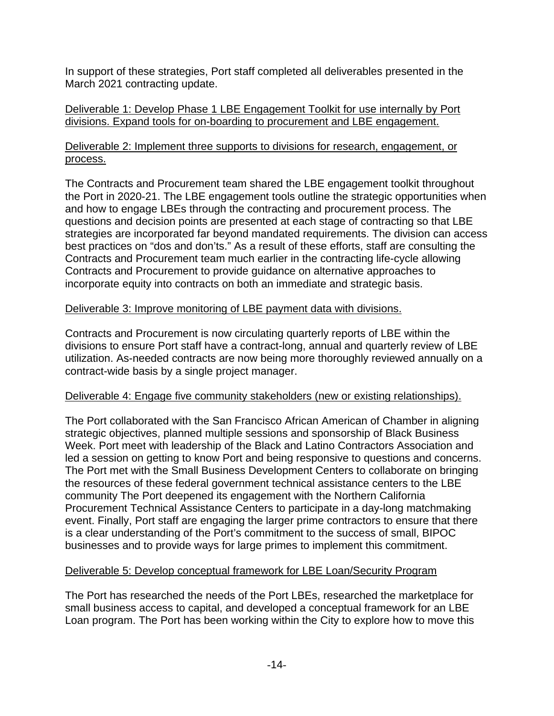In support of these strategies, Port staff completed all deliverables presented in the March 2021 contracting update.

### Deliverable 1: Develop Phase 1 LBE Engagement Toolkit for use internally by Port divisions. Expand tools for on-boarding to procurement and LBE engagement.

### Deliverable 2: Implement three supports to divisions for research, engagement, or process.

The Contracts and Procurement team shared the LBE engagement toolkit throughout the Port in 2020-21. The LBE engagement tools outline the strategic opportunities when and how to engage LBEs through the contracting and procurement process. The questions and decision points are presented at each stage of contracting so that LBE strategies are incorporated far beyond mandated requirements. The division can access best practices on "dos and don'ts." As a result of these efforts, staff are consulting the Contracts and Procurement team much earlier in the contracting life-cycle allowing Contracts and Procurement to provide guidance on alternative approaches to incorporate equity into contracts on both an immediate and strategic basis.

## Deliverable 3: Improve monitoring of LBE payment data with divisions.

Contracts and Procurement is now circulating quarterly reports of LBE within the divisions to ensure Port staff have a contract-long, annual and quarterly review of LBE utilization. As-needed contracts are now being more thoroughly reviewed annually on a contract-wide basis by a single project manager.

# Deliverable 4: Engage five community stakeholders (new or existing relationships).

The Port collaborated with the San Francisco African American of Chamber in aligning strategic objectives, planned multiple sessions and sponsorship of Black Business Week. Port meet with leadership of the Black and Latino Contractors Association and led a session on getting to know Port and being responsive to questions and concerns. The Port met with the Small Business Development Centers to collaborate on bringing the resources of these federal government technical assistance centers to the LBE community The Port deepened its engagement with the Northern California Procurement Technical Assistance Centers to participate in a day-long matchmaking event. Finally, Port staff are engaging the larger prime contractors to ensure that there is a clear understanding of the Port's commitment to the success of small, BIPOC businesses and to provide ways for large primes to implement this commitment.

# Deliverable 5: Develop conceptual framework for LBE Loan/Security Program

The Port has researched the needs of the Port LBEs, researched the marketplace for small business access to capital, and developed a conceptual framework for an LBE Loan program. The Port has been working within the City to explore how to move this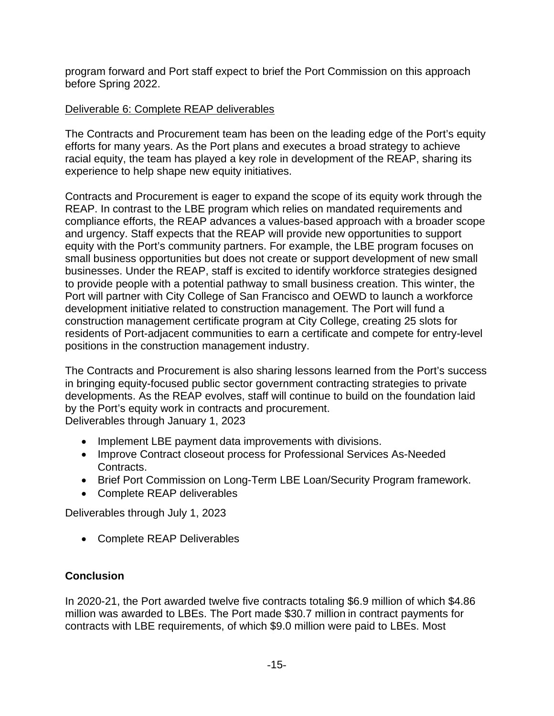program forward and Port staff expect to brief the Port Commission on this approach before Spring 2022.

# Deliverable 6: Complete REAP deliverables

The Contracts and Procurement team has been on the leading edge of the Port's equity efforts for many years. As the Port plans and executes a broad strategy to achieve racial equity, the team has played a key role in development of the REAP, sharing its experience to help shape new equity initiatives.

Contracts and Procurement is eager to expand the scope of its equity work through the REAP. In contrast to the LBE program which relies on mandated requirements and compliance efforts, the REAP advances a values-based approach with a broader scope and urgency. Staff expects that the REAP will provide new opportunities to support equity with the Port's community partners. For example, the LBE program focuses on small business opportunities but does not create or support development of new small businesses. Under the REAP, staff is excited to identify workforce strategies designed to provide people with a potential pathway to small business creation. This winter, the Port will partner with City College of San Francisco and OEWD to launch a workforce development initiative related to construction management. The Port will fund a construction management certificate program at City College, creating 25 slots for residents of Port-adjacent communities to earn a certificate and compete for entry-level positions in the construction management industry.

The Contracts and Procurement is also sharing lessons learned from the Port's success in bringing equity-focused public sector government contracting strategies to private developments. As the REAP evolves, staff will continue to build on the foundation laid by the Port's equity work in contracts and procurement. Deliverables through January 1, 2023

- Implement LBE payment data improvements with divisions.
- Improve Contract closeout process for Professional Services As-Needed Contracts.
- Brief Port Commission on Long-Term LBE Loan/Security Program framework.
- Complete REAP deliverables

Deliverables through July 1, 2023

• Complete REAP Deliverables

# **Conclusion**

In 2020-21, the Port awarded twelve five contracts totaling \$6.9 million of which \$4.86 million was awarded to LBEs. The Port made \$30.7 million in contract payments for contracts with LBE requirements, of which \$9.0 million were paid to LBEs. Most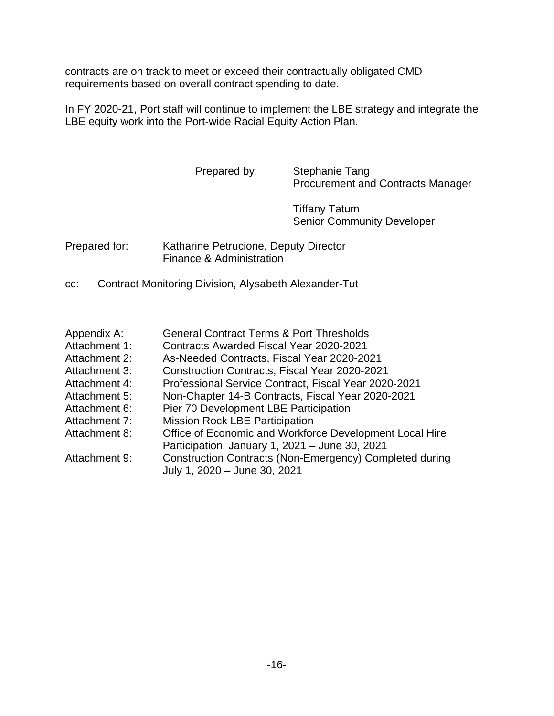contracts are on track to meet or exceed their contractually obligated CMD requirements based on overall contract spending to date.

In FY 2020-21, Port staff will continue to implement the LBE strategy and integrate the LBE equity work into the Port-wide Racial Equity Action Plan.

> Prepared by: Stephanie Tang Procurement and Contracts Manager

> > Tiffany Tatum Senior Community Developer

Prepared for: Katharine Petrucione, Deputy Director Finance & Administration

cc: Contract Monitoring Division, Alysabeth Alexander-Tut

| Appendix A: | <b>General Contract Terms &amp; Port Thresholds</b> |
|-------------|-----------------------------------------------------|
|-------------|-----------------------------------------------------|

- Attachment 1: Contracts Awarded Fiscal Year 2020-2021
- Attachment 2: As-Needed Contracts, Fiscal Year 2020-2021
- Attachment 3: Construction Contracts, Fiscal Year 2020-2021
- Attachment 4: Professional Service Contract, Fiscal Year 2020-2021
- Attachment 5: Non-Chapter 14-B Contracts, Fiscal Year 2020-2021
- Attachment 6: Pier 70 Development LBE Participation
- Attachment 7: Mission Rock LBE Participation
- Attachment 8: Office of Economic and Workforce Development Local Hire
- Participation, January 1, 2021 June 30, 2021 Attachment 9: Construction Contracts (Non-Emergency) Completed during
	- July 1, 2020 June 30, 2021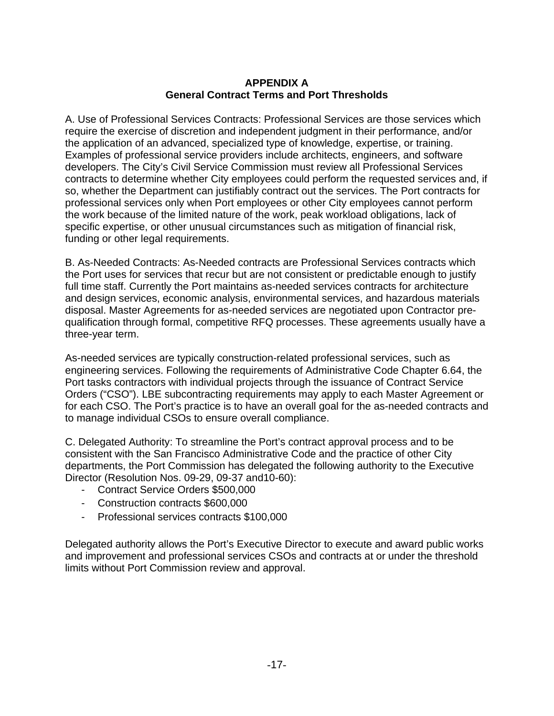#### **APPENDIX A General Contract Terms and Port Thresholds**

A. Use of Professional Services Contracts: Professional Services are those services which require the exercise of discretion and independent judgment in their performance, and/or the application of an advanced, specialized type of knowledge, expertise, or training. Examples of professional service providers include architects, engineers, and software developers. The City's Civil Service Commission must review all Professional Services contracts to determine whether City employees could perform the requested services and, if so, whether the Department can justifiably contract out the services. The Port contracts for professional services only when Port employees or other City employees cannot perform the work because of the limited nature of the work, peak workload obligations, lack of specific expertise, or other unusual circumstances such as mitigation of financial risk, funding or other legal requirements.

B. As-Needed Contracts: As-Needed contracts are Professional Services contracts which the Port uses for services that recur but are not consistent or predictable enough to justify full time staff. Currently the Port maintains as-needed services contracts for architecture and design services, economic analysis, environmental services, and hazardous materials disposal. Master Agreements for as-needed services are negotiated upon Contractor prequalification through formal, competitive RFQ processes. These agreements usually have a three-year term.

As-needed services are typically construction-related professional services, such as engineering services. Following the requirements of Administrative Code Chapter 6.64, the Port tasks contractors with individual projects through the issuance of Contract Service Orders ("CSO"). LBE subcontracting requirements may apply to each Master Agreement or for each CSO. The Port's practice is to have an overall goal for the as-needed contracts and to manage individual CSOs to ensure overall compliance.

C. Delegated Authority: To streamline the Port's contract approval process and to be consistent with the San Francisco Administrative Code and the practice of other City departments, the Port Commission has delegated the following authority to the Executive Director (Resolution Nos. 09-29, 09-37 and10-60):

- Contract Service Orders \$500,000
- Construction contracts \$600,000
- Professional services contracts \$100,000

Delegated authority allows the Port's Executive Director to execute and award public works and improvement and professional services CSOs and contracts at or under the threshold limits without Port Commission review and approval.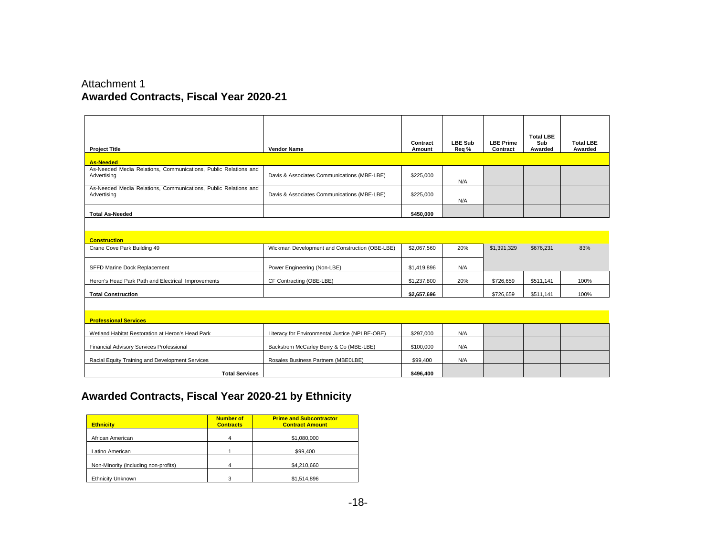## Attachment 1 **Awarded Contracts, Fiscal Year 2020-21**

| <b>Project Title</b>                                                           | <b>Vendor Name</b>                             | Contract<br>Amount | <b>LBE Sub</b><br>Req % | <b>LBE Prime</b><br>Contract | <b>Total LBE</b><br>Sub<br>Awarded | <b>Total LBE</b><br>Awarded |
|--------------------------------------------------------------------------------|------------------------------------------------|--------------------|-------------------------|------------------------------|------------------------------------|-----------------------------|
| <b>As-Needed</b>                                                               |                                                |                    |                         |                              |                                    |                             |
| As-Needed Media Relations, Communications, Public Relations and<br>Advertising | Davis & Associates Communications (MBE-LBE)    | \$225,000          | N/A                     |                              |                                    |                             |
| As-Needed Media Relations, Communications, Public Relations and<br>Advertising | Davis & Associates Communications (MBE-LBE)    | \$225,000          | N/A                     |                              |                                    |                             |
| <b>Total As-Needed</b>                                                         |                                                | \$450.000          |                         |                              |                                    |                             |
|                                                                                |                                                |                    |                         |                              |                                    |                             |
| <b>Construction</b>                                                            |                                                |                    |                         |                              |                                    |                             |
| Crane Cove Park Building 49                                                    | Wickman Development and Construction (OBE-LBE) | \$2,067,560        | 20%                     | \$1,391,329                  | \$676,231                          | 83%                         |
| SFFD Marine Dock Replacement                                                   | Power Engineering (Non-LBE)                    | \$1,419,896        | N/A                     |                              |                                    |                             |
| Heron's Head Park Path and Electrical Improvements                             | CF Contracting (OBE-LBE)                       | \$1,237,800        | 20%                     | \$726,659                    | \$511,141                          | 100%                        |
| <b>Total Construction</b>                                                      |                                                | \$2,657,696        |                         | \$726,659                    | \$511,141                          | 100%                        |
|                                                                                |                                                |                    |                         |                              |                                    |                             |
| <b>Professional Services</b>                                                   |                                                |                    |                         |                              |                                    |                             |
| Wetland Habitat Restoration at Heron's Head Park                               | Literacy for Environmental Justice (NPLBE-OBE) | \$297,000          | N/A                     |                              |                                    |                             |
| Financial Advisory Services Professional                                       | Backstrom McCarley Berry & Co (MBE-LBE)        | \$100,000          | N/A                     |                              |                                    |                             |
| Racial Equity Training and Development Services                                | Rosales Business Partners (MBE0LBE)            | \$99,400           | N/A                     |                              |                                    |                             |
| <b>Total Services</b>                                                          |                                                | \$496.400          |                         |                              |                                    |                             |

# **Awarded Contracts, Fiscal Year 2020-21 by Ethnicity**

| <b>Ethnicity</b>                     | <b>Number of</b><br><b>Contracts</b> | <b>Prime and Subcontractor</b><br><b>Contract Amount</b> |
|--------------------------------------|--------------------------------------|----------------------------------------------------------|
| African American                     | 4                                    | \$1,080,000                                              |
| Latino American                      |                                      | \$99,400                                                 |
| Non-Minority (including non-profits) |                                      | \$4,210,660                                              |
| <b>Ethnicity Unknown</b>             | з                                    | \$1,514,896                                              |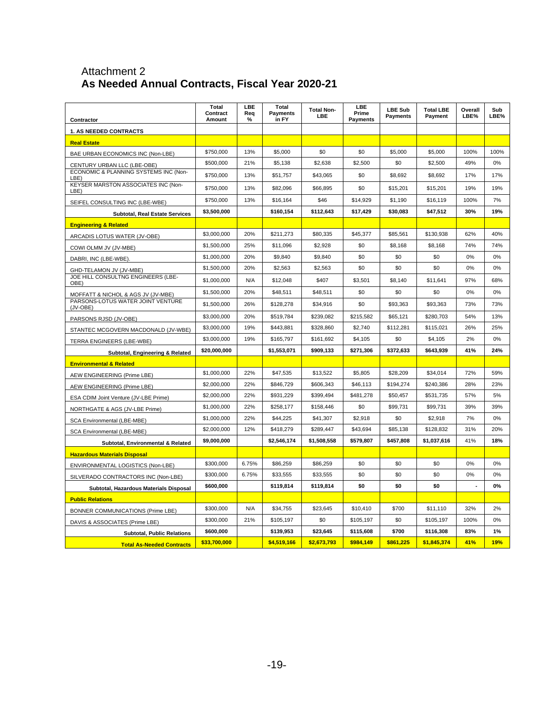### Attachment 2 **As Needed Annual Contracts, Fiscal Year 2020-21**

| Contractor                                    | Total<br>Contract<br>Amount | LBE<br>Rea<br>% | Total<br><b>Pavments</b><br>in FY | <b>Total Non-</b><br><b>LBE</b> | LBE<br>Prime<br><b>Payments</b> | <b>LBE Sub</b><br><b>Payments</b> | <b>Total LBE</b><br>Payment | Overall<br>LBE% | Sub<br>LBE% |
|-----------------------------------------------|-----------------------------|-----------------|-----------------------------------|---------------------------------|---------------------------------|-----------------------------------|-----------------------------|-----------------|-------------|
| <b>1. AS NEEDED CONTRACTS</b>                 |                             |                 |                                   |                                 |                                 |                                   |                             |                 |             |
| <b>Real Estate</b>                            |                             |                 |                                   |                                 |                                 |                                   |                             |                 |             |
| BAE URBAN ECONOMICS INC (Non-LBE)             | \$750,000                   | 13%             | \$5,000                           | \$0                             | \$0                             | \$5,000                           | \$5,000                     | 100%            | 100%        |
| CENTURY URBAN LLC (LBE-OBE)                   | \$500,000                   | 21%             | \$5,138                           | \$2,638                         | \$2,500                         | \$0                               | \$2,500                     | 49%             | 0%          |
| ECONOMIC & PLANNING SYSTEMS INC (Non-<br>LBE) | \$750,000                   | 13%             | \$51,757                          | \$43,065                        | \$0                             | \$8,692                           | \$8,692                     | 17%             | 17%         |
| KEYSER MARSTON ASSOCIATES INC (Non-<br>LBE)   | \$750,000                   | 13%             | \$82.096                          | \$66,895                        | \$0                             | \$15,201                          | \$15,201                    | 19%             | 19%         |
| SEIFEL CONSULTING INC (LBE-WBE)               | \$750,000                   | 13%             | \$16,164                          | \$46                            | \$14,929                        | \$1,190                           | \$16,119                    | 100%            | 7%          |
| <b>Subtotal, Real Estate Services</b>         | \$3,500,000                 |                 | \$160,154                         | \$112,643                       | \$17,429                        | \$30,083                          | \$47,512                    | 30%             | 19%         |
| <b>Engineering &amp; Related</b>              |                             |                 |                                   |                                 |                                 |                                   |                             |                 |             |
| ARCADIS LOTUS WATER (JV-OBE)                  | \$3,000,000                 | 20%             | \$211,273                         | \$80,335                        | \$45,377                        | \$85,561                          | \$130,938                   | 62%             | 40%         |
| COWI OLMM JV (JV-MBE)                         | \$1,500,000                 | 25%             | \$11,096                          | \$2,928                         | \$0                             | \$8,168                           | \$8,168                     | 74%             | 74%         |
| DABRI, INC (LBE-WBE)                          | \$1,000,000                 | 20%             | \$9,840                           | \$9,840                         | \$0                             | \$0                               | \$0                         | 0%              | 0%          |
| GHD-TELAMON JV (JV-MBE)                       | \$1,500,000                 | 20%             | \$2,563                           | \$2,563                         | \$0                             | \$0                               | \$0                         | 0%              | 0%          |
| JOE HILL CONSULTNG ENGINEERS (LBE-<br>OBE)    | \$1,000,000                 | N/A             | \$12,048                          | \$407                           | \$3,501                         | \$8,140                           | \$11,641                    | 97%             | 68%         |
| MOFFATT & NICHOL & AGS JV (JV-MBE)            | \$1,500,000                 | 20%             | \$48,511                          | \$48,511                        | \$0                             | \$0                               | \$0                         | 0%              | 0%          |
| PARSONS-LOTUS WATER JOINT VENTURE<br>(JV-OBE) | \$1,500,000                 | 26%             | \$128,278                         | \$34,916                        | \$0                             | \$93,363                          | \$93,363                    | 73%             | 73%         |
| PARSONS RJSD (JV-OBE)                         | \$3,000,000                 | 20%             | \$519,784                         | \$239,082                       | \$215,582                       | \$65,121                          | \$280,703                   | 54%             | 13%         |
| STANTEC MCGOVERN MACDONALD (JV-WBE)           | \$3,000,000                 | 19%             | \$443,881                         | \$328,860                       | \$2,740                         | \$112,281                         | \$115,021                   | 26%             | 25%         |
| TERRA ENGINEERS (LBE-WBE)                     | \$3,000,000                 | 19%             | \$165,797                         | \$161,692                       | \$4,105                         | \$0                               | \$4,105                     | 2%              | 0%          |
| Subtotal, Engineering & Related               | \$20,000,000                |                 | \$1,553,071                       | \$909,133                       | \$271,306                       | \$372,633                         | \$643,939                   | 41%             | 24%         |
| <b>Environmental &amp; Related</b>            |                             |                 |                                   |                                 |                                 |                                   |                             |                 |             |
| AEW ENGINEERING (Prime LBE)                   | \$1,000,000                 | 22%             | \$47,535                          | \$13,522                        | \$5,805                         | \$28,209                          | \$34,014                    | 72%             | 59%         |
| AEW ENGINEERING (Prime LBE)                   | \$2,000,000                 | 22%             | \$846,729                         | \$606,343                       | \$46,113                        | \$194,274                         | \$240,386                   | 28%             | 23%         |
| ESA CDIM Joint Venture (JV-LBE Prime)         | \$2,000,000                 | 22%             | \$931.229                         | \$399,494                       | \$481,278                       | \$50,457                          | \$531,735                   | 57%             | 5%          |
| NORTHGATE & AGS (JV-LBE Prime)                | \$1,000,000                 | 22%             | \$258,177                         | \$158,446                       | \$0                             | \$99,731                          | \$99,731                    | 39%             | 39%         |
| SCA Environmental (LBE-MBE)                   | \$1,000,000                 | 22%             | \$44,225                          | \$41,307                        | \$2,918                         | \$0                               | \$2,918                     | 7%              | 0%          |
| SCA Environmental (LBE-MBE)                   | \$2,000,000                 | 12%             | \$418,279                         | \$289,447                       | \$43.694                        | \$85,138                          | \$128.832                   | 31%             | 20%         |
| Subtotal, Environmental & Related             | \$9,000,000                 |                 | \$2,546,174                       | \$1,508,558                     | \$579,807                       | \$457,808                         | \$1,037,616                 | 41%             | 18%         |
| <b>Hazardous Materials Disposal</b>           |                             |                 |                                   |                                 |                                 |                                   |                             |                 |             |
| ENVIRONMENTAL LOGISTICS (Non-LBE)             | \$300,000                   | 6.75%           | \$86,259                          | \$86,259                        | \$0                             | \$0                               | \$0                         | 0%              | 0%          |
| SILVERADO CONTRACTORS INC (Non-LBE)           | \$300,000                   | 6.75%           | \$33.555                          | \$33,555                        | \$0                             | \$0                               | \$0                         | 0%              | 0%          |
| Subtotal, Hazardous Materials Disposal        | \$600,000                   |                 | \$119,814                         | \$119,814                       | \$0                             | \$0                               | \$0                         |                 | 0%          |
| <b>Public Relations</b>                       |                             |                 |                                   |                                 |                                 |                                   |                             |                 |             |
| BONNER COMMUNICATIONS (Prime LBE)             | \$300,000                   | N/A             | \$34.755                          | \$23.645                        | \$10,410                        | \$700                             | \$11.110                    | 32%             | 2%          |
| DAVIS & ASSOCIATES (Prime LBE)                | \$300,000                   | 21%             | \$105,197                         | \$0                             | \$105,197                       | \$0                               | \$105,197                   | 100%            | 0%          |
| <b>Subtotal, Public Relations</b>             | \$600,000                   |                 | \$139.953                         | \$23.645                        | \$115,608                       | \$700                             | \$116.308                   | 83%             | 1%          |
| <b>Total As-Needed Contracts</b>              | \$33,700,000                |                 | \$4,519,166                       | \$2,673,793                     | \$984,149                       | \$861,225                         | \$1,845,374                 | 41%             | 19%         |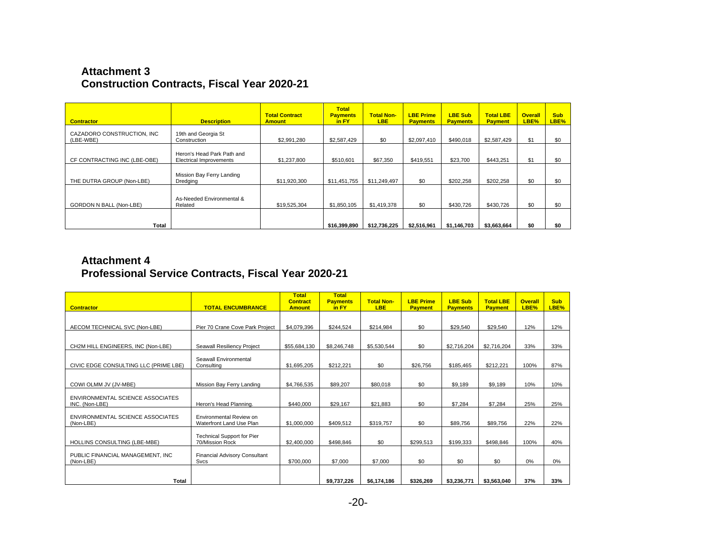### **Attachment 3 Construction Contracts, Fiscal Year 2020-21**

| <b>Contractor</b>                       | <b>Description</b>                                           | <b>Total Contract</b><br><b>Amount</b> | <b>Total</b><br><b>Payments</b><br>in FY | <b>Total Non-</b><br>LBE. | <b>LBE Prime</b><br><b>Payments</b> | <b>LBE Sub</b><br><b>Payments</b> | <b>Total LBE</b><br><b>Payment</b> | <b>Overall</b><br>LBE% | <b>Sub</b><br>LBE% |
|-----------------------------------------|--------------------------------------------------------------|----------------------------------------|------------------------------------------|---------------------------|-------------------------------------|-----------------------------------|------------------------------------|------------------------|--------------------|
| CAZADORO CONSTRUCTION, INC<br>(LBE-WBE) | 19th and Georgia St<br>Construction                          | \$2,991,280                            | \$2,587,429                              | \$0                       | \$2,097,410                         | \$490,018                         | \$2,587,429                        | \$1                    | \$0                |
| CF CONTRACTING INC (LBE-OBE)            | Heron's Head Park Path and<br><b>Electrical Improvements</b> | \$1,237,800                            | \$510,601                                | \$67,350                  | \$419,551                           | \$23,700                          | \$443.251                          | \$1                    | \$0                |
| THE DUTRA GROUP (Non-LBE)               | Mission Bay Ferry Landing<br>Dredging                        | \$11,920,300                           | \$11,451,755                             | \$11.249.497              | \$0                                 | \$202,258                         | \$202.258                          | \$0                    | \$0                |
| <b>GORDON N BALL (Non-LBE)</b>          | As-Needed Environmental &<br>Related                         | \$19,525,304                           | \$1,850,105                              | \$1,419,378               | \$0                                 | \$430.726                         | \$430,726                          | \$0                    | \$0                |
|                                         |                                                              |                                        |                                          |                           |                                     |                                   |                                    |                        |                    |
| Total                                   |                                                              |                                        | \$16,399,890                             | \$12,736,225              | \$2,516,961                         | \$1,146,703                       | \$3,663,664                        | \$0                    | \$0                |

## **Attachment 4 Professional Service Contracts, Fiscal Year 2020-21**

| <b>Contractor</b>                     | <b>TOTAL ENCUMBRANCE</b>             | <b>Total</b><br><b>Contract</b><br><b>Amount</b> | <b>Total</b><br><b>Payments</b><br>in FY | <b>Total Non-</b><br><b>LBE</b> | <b>LBE Prime</b><br><b>Payment</b> | <b>LBE Sub</b><br><b>Payments</b> | <b>Total LBE</b><br><b>Payment</b> | <b>Overall</b><br>LBE% | <b>Sub</b><br>LBE% |
|---------------------------------------|--------------------------------------|--------------------------------------------------|------------------------------------------|---------------------------------|------------------------------------|-----------------------------------|------------------------------------|------------------------|--------------------|
|                                       |                                      |                                                  |                                          |                                 |                                    |                                   |                                    |                        |                    |
| AECOM TECHNICAL SVC (Non-LBE)         | Pier 70 Crane Cove Park Project      | \$4,079,396                                      | \$244,524                                | \$214,984                       | \$0                                | \$29,540                          | \$29,540                           | 12%                    | 12%                |
|                                       |                                      |                                                  |                                          |                                 |                                    |                                   |                                    |                        |                    |
| CH2M HILL ENGINEERS, INC (Non-LBE)    | Seawall Resiliency Project           | \$55,684,130                                     | \$8,246,748                              | \$5,530,544                     | \$0                                | \$2,716,204                       | \$2,716,204                        | 33%                    | 33%                |
|                                       | Seawall Environmental                |                                                  |                                          |                                 |                                    |                                   |                                    |                        |                    |
| CIVIC EDGE CONSULTING LLC (PRIME LBE) | Consulting                           | \$1,695,205                                      | \$212,221                                | \$0                             | \$26,756                           | \$185,465                         | \$212,221                          | 100%                   | 87%                |
|                                       |                                      |                                                  |                                          |                                 |                                    |                                   |                                    |                        |                    |
| COWI OLMM JV (JV-MBE)                 | Mission Bay Ferry Landing            | \$4,766,535                                      | \$89,207                                 | \$80,018                        | \$0                                | \$9,189                           | \$9,189                            | 10%                    | 10%                |
| ENVIRONMENTAL SCIENCE ASSOCIATES      |                                      |                                                  |                                          |                                 |                                    |                                   |                                    |                        |                    |
| INC. (Non-LBE)                        | Heron's Head Planning.               | \$440,000                                        | \$29,167                                 | \$21,883                        | \$0                                | \$7,284                           | \$7,284                            | 25%                    | 25%                |
| ENVIRONMENTAL SCIENCE ASSOCIATES      | Environmental Review on              |                                                  |                                          |                                 |                                    |                                   |                                    |                        |                    |
| (Non-LBE)                             | Waterfront Land Use Plan             | \$1,000,000                                      | \$409,512                                | \$319,757                       | \$0                                | \$89.756                          | \$89,756                           | 22%                    | 22%                |
|                                       | <b>Technical Support for Pier</b>    |                                                  |                                          |                                 |                                    |                                   |                                    |                        |                    |
| HOLLINS CONSULTING (LBE-MBE)          | 70/Mission Rock                      | \$2,400,000                                      | \$498,846                                | \$0                             | \$299,513                          | \$199,333                         | \$498,846                          | 100%                   | 40%                |
| PUBLIC FINANCIAL MANAGEMENT. INC      | <b>Financial Advisory Consultant</b> |                                                  |                                          |                                 |                                    |                                   |                                    |                        |                    |
| (Non-LBE)                             | Svcs                                 | \$700,000                                        | \$7,000                                  | \$7,000                         | \$0                                | \$0                               | \$0                                | $0\%$                  | 0%                 |
|                                       |                                      |                                                  |                                          |                                 |                                    |                                   |                                    |                        |                    |
| <b>Total</b>                          |                                      |                                                  | \$9.737.226                              | \$6.174.186                     | \$326.269                          | \$3,236,771                       | \$3.563.040                        | 37%                    | 33%                |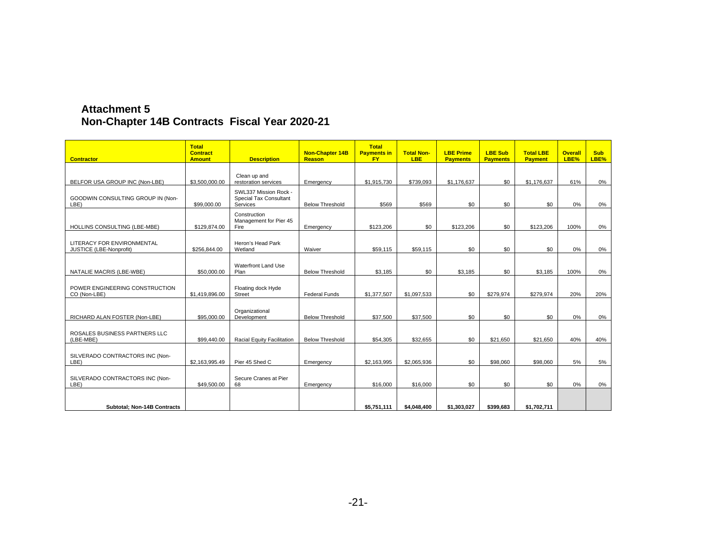| <b>Attachment 5</b>                           |  |
|-----------------------------------------------|--|
| Non-Chapter 14B Contracts Fiscal Year 2020-21 |  |

| <b>Contractor</b>                                     | <b>Total</b><br><b>Contract</b><br><b>Amount</b> | <b>Description</b>                                                 | <b>Non-Chapter 14B</b><br>Reason | <b>Total</b><br><b>Payments in</b><br><b>FY</b> | <b>Total Non-</b><br><b>LBE</b> | <b>LBE Prime</b><br><b>Payments</b> | <b>LBE Sub</b><br><b>Payments</b> | <b>Total LBE</b><br><b>Payment</b> | <b>Overall</b><br>LBE% | <b>Sub</b><br>LBE% |
|-------------------------------------------------------|--------------------------------------------------|--------------------------------------------------------------------|----------------------------------|-------------------------------------------------|---------------------------------|-------------------------------------|-----------------------------------|------------------------------------|------------------------|--------------------|
|                                                       |                                                  | Clean up and                                                       |                                  |                                                 |                                 |                                     |                                   |                                    |                        |                    |
| BELFOR USA GROUP INC (Non-LBE)                        | \$3,500,000.00                                   | restoration services                                               | Emergency                        | \$1,915,730                                     | \$739,093                       | \$1,176,637                         | \$0                               | \$1,176,637                        | 61%                    | 0%                 |
| GOODWIN CONSULTING GROUP IN (Non-<br>LBE)             | \$99,000.00                                      | SWL337 Mission Rock -<br><b>Special Tax Consultant</b><br>Services | <b>Below Threshold</b>           | \$569                                           | \$569                           | \$0                                 | \$0                               | \$0                                | 0%                     | $0\%$              |
| HOLLINS CONSULTING (LBE-MBE)                          | \$129,874.00                                     | Construction<br>Management for Pier 45<br>Fire                     | Emergency                        | \$123,206                                       | \$0                             | \$123,206                           | \$0                               | \$123,206                          | 100%                   | 0%                 |
| LITERACY FOR ENVIRONMENTAL<br>JUSTICE (LBE-Nonprofit) | \$256,844.00                                     | Heron's Head Park<br>Wetland                                       | Waiver                           | \$59,115                                        | \$59,115                        | \$0                                 | \$0                               | \$0                                | 0%                     | $0\%$              |
|                                                       |                                                  |                                                                    |                                  |                                                 |                                 |                                     |                                   |                                    |                        |                    |
| NATALIE MACRIS (LBE-WBE)                              | \$50,000.00                                      | Waterfront Land Use<br>Plan                                        | <b>Below Threshold</b>           | \$3,185                                         | \$0                             | \$3,185                             | \$0                               | \$3,185                            | 100%                   | 0%                 |
| POWER ENGINEERING CONSTRUCTION<br>CO (Non-LBE)        | \$1,419,896.00                                   | Floating dock Hyde<br><b>Street</b>                                | <b>Federal Funds</b>             | \$1,377,507                                     | \$1.097.533                     | \$0                                 | \$279,974                         | \$279,974                          | 20%                    | 20%                |
| RICHARD ALAN FOSTER (Non-LBE)                         | \$95,000.00                                      | Organizational<br>Development                                      | <b>Below Threshold</b>           | \$37,500                                        | \$37,500                        | \$0                                 | \$0                               | \$0                                | 0%                     | 0%                 |
| ROSALES BUSINESS PARTNERS LLC<br>(LBE-MBE)            | \$99,440.00                                      | Racial Equity Facilitation                                         | <b>Below Threshold</b>           | \$54,305                                        | \$32,655                        | \$0                                 | \$21,650                          | \$21,650                           | 40%                    | 40%                |
| SILVERADO CONTRACTORS INC (Non-<br>LBE)               | \$2,163,995.49                                   | Pier 45 Shed C                                                     | Emergency                        | \$2,163,995                                     | \$2,065,936                     | \$0                                 | \$98,060                          | \$98,060                           | 5%                     | 5%                 |
| SILVERADO CONTRACTORS INC (Non-<br>LBE)               | \$49,500.00                                      | Secure Cranes at Pier<br>68                                        | Emergency                        | \$16,000                                        | \$16,000                        | \$0                                 | \$0                               | \$0                                | $0\%$                  | 0%                 |
| Subtotal; Non-14B Contracts                           |                                                  |                                                                    |                                  | \$5,751,111                                     | \$4,048,400                     | \$1,303,027                         | \$399,683                         | \$1,702,711                        |                        |                    |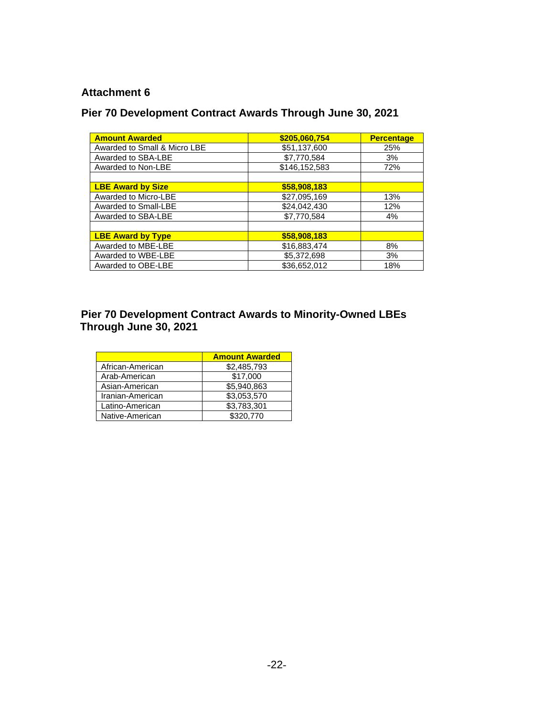#### **Attachment 6**

## **Pier 70 Development Contract Awards Through June 30, 2021**

| <b>Amount Awarded</b>        | \$205,060,754 | <b>Percentage</b> |
|------------------------------|---------------|-------------------|
| Awarded to Small & Micro LBE | \$51,137,600  | 25%               |
| Awarded to SBA-LBE           | \$7,770,584   | 3%                |
| Awarded to Non-LBE           | \$146,152,583 | 72%               |
|                              |               |                   |
| <b>LBE Award by Size</b>     | \$58,908,183  |                   |
| Awarded to Micro-LBE         | \$27,095,169  | 13%               |
| Awarded to Small-LBE         | \$24,042,430  | 12%               |
| Awarded to SBA-LBE           | \$7,770,584   | 4%                |
|                              |               |                   |
| <b>LBE Award by Type</b>     | \$58,908,183  |                   |
| Awarded to MBE-LBE           | \$16,883,474  | 8%                |
| Awarded to WBE-LBE           | \$5,372,698   | 3%                |
| Awarded to OBE-LBE           | \$36,652,012  | 18%               |

### **Pier 70 Development Contract Awards to Minority-Owned LBEs Through June 30, 2021**

|                  | <b>Amount Awarded</b> |
|------------------|-----------------------|
| African-American | \$2,485,793           |
| Arab-American    | \$17,000              |
| Asian-American   | \$5.940.863           |
| Iranian-American | \$3,053,570           |
| Latino-American  | \$3,783,301           |
| Native-American  | \$320,770             |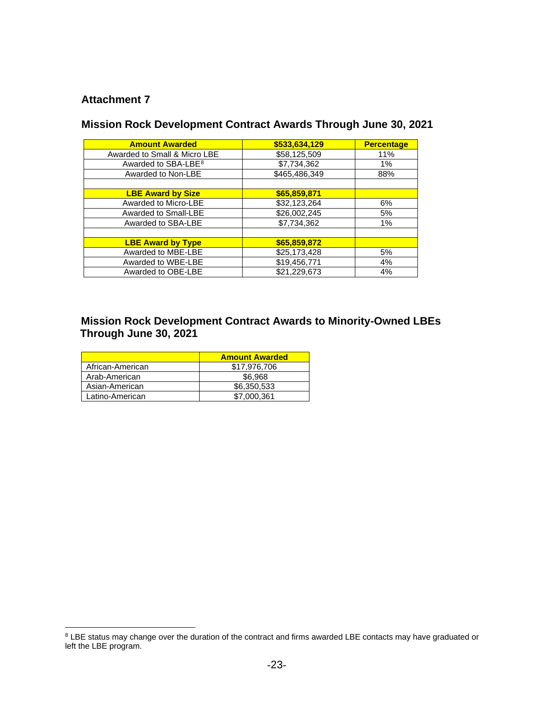#### **Attachment 7**

### **Mission Rock Development Contract Awards Through June 30, 2021**

| <b>Amount Awarded</b>           | \$533,634,129 | <b>Percentage</b> |
|---------------------------------|---------------|-------------------|
| Awarded to Small & Micro LBE    | \$58,125,509  | 11%               |
| Awarded to SBA-LBE <sup>8</sup> | \$7,734,362   | $1\%$             |
| Awarded to Non-LBE              | \$465,486,349 | 88%               |
|                                 |               |                   |
| <b>LBE Award by Size</b>        | \$65,859,871  |                   |
| Awarded to Micro-LBE            | \$32,123,264  | 6%                |
| Awarded to Small-LBE            | \$26,002,245  | 5%                |
| Awarded to SBA-LBE              | \$7,734,362   | 1%                |
|                                 |               |                   |
| <b>LBE Award by Type</b>        | \$65,859,872  |                   |
| Awarded to MBE-LBE              | \$25,173,428  | 5%                |
| Awarded to WBE-LBE              | \$19,456,771  | 4%                |
| Awarded to OBE-LBE              | \$21,229,673  | 4%                |

#### **Mission Rock Development Contract Awards to Minority-Owned LBEs Through June 30, 2021**

|                  | <b>Amount Awarded</b> |  |  |
|------------------|-----------------------|--|--|
| African-American | \$17.976.706          |  |  |
| Arab-American    | \$6.968               |  |  |
| Asian-American   | \$6,350,533           |  |  |
| Latino-American  | \$7,000.361           |  |  |

<span id="page-22-0"></span> $8$  LBE status may change over the duration of the contract and firms awarded LBE contacts may have graduated or left the LBE program.